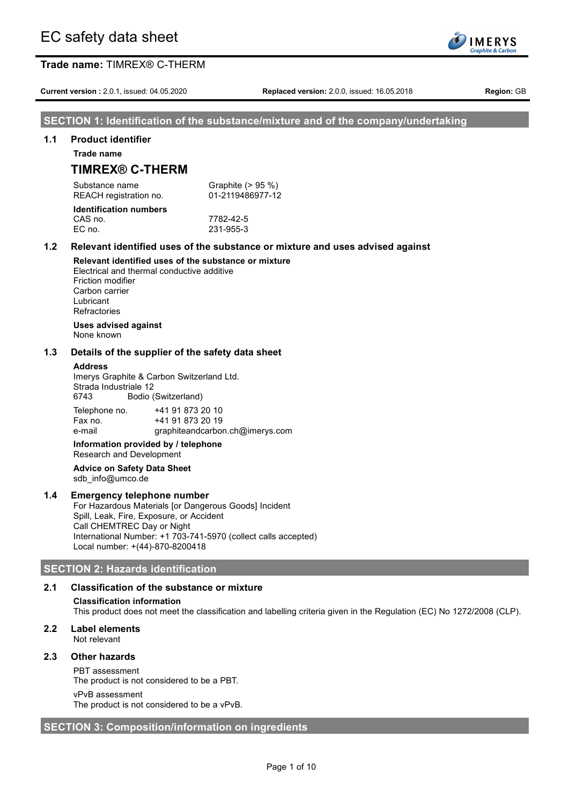**Current version :** 2.0.1, issued: 04.05.2020 **Replaced version:** 2.0.0, issued: 16.05.2018 **Region:** GB

## **SECTION 1: Identification of the substance/mixture and of the company/undertaking**

#### **1.1 Product identifier**

**Trade name**

# **TIMREX® C-THERM**

Substance name Graphite (> 95 %) REACH registration no. 01-2119486977-12

#### **Identification numbers** CAS no. 7782-42-5 EC no. 231-955-3

# **1.2 Relevant identified uses of the substance or mixture and uses advised against**

**Relevant identified uses of the substance or mixture** Electrical and thermal conductive additive Friction modifier Carbon carrier Lubricant **Refractories** 

#### **Uses advised against** None known

### **1.3 Details of the supplier of the safety data sheet**

#### **Address**

Imerys Graphite & Carbon Switzerland Ltd. Strada Industriale 12 6743 Bodio (Switzerland)

| Telephone no. | +41 91 873 20 10                |
|---------------|---------------------------------|
| Fax no.       | +41 91 873 20 19                |
| e-mail        | graphiteandcarbon.ch@imerys.com |

### **Information provided by / telephone** Research and Development

#### **Advice on Safety Data Sheet** sdb\_info@umco.de

## **1.4 Emergency telephone number**

For Hazardous Materials [or Dangerous Goods] Incident Spill, Leak, Fire, Exposure, or Accident Call CHEMTREC Day or Night International Number: +1 703-741-5970 (collect calls accepted) Local number: +(44)-870-8200418

## **SECTION 2: Hazards identification**

## **2.1 Classification of the substance or mixture**

## **Classification information**

This product does not meet the classification and labelling criteria given in the Regulation (EC) No 1272/2008 (CLP).

## **2.2 Label elements**

Not relevant

## **2.3 Other hazards**

PBT assessment

The product is not considered to be a PBT.

#### vPvB assessment

The product is not considered to be a vPvB.

## **SECTION 3: Composition/information on ingredients**

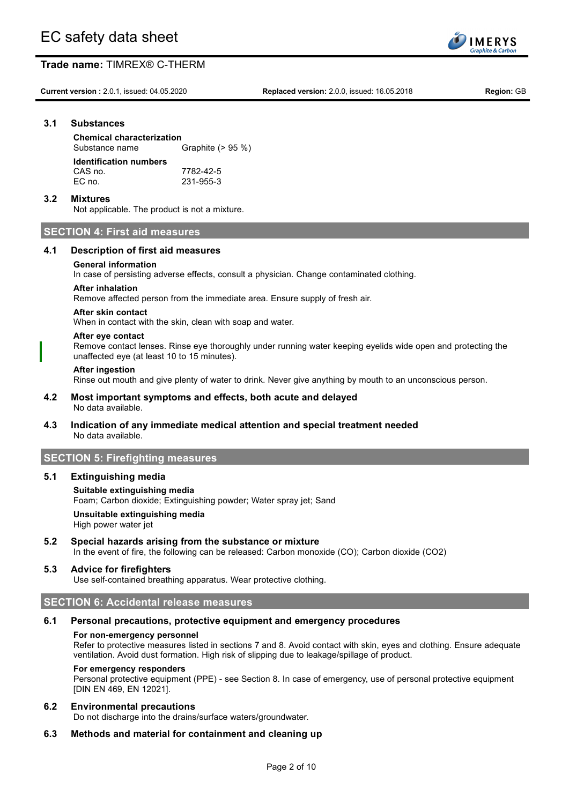**Current version :** 2.0.1, issued: 04.05.2020 **Replaced version:** 2.0.0, issued: 16.05.2018 **Region:** GB

**IMERYS** aphite & Carb

### **3.1 Substances**

**Chemical characterization** Substance name Graphite (> 95 %) **Identification numbers** CAS no. 7782-42-5 EC no. 231-955-3

### **3.2 Mixtures**

Not applicable. The product is not a mixture.

## **SECTION 4: First aid measures**

### **4.1 Description of first aid measures**

### **General information**

In case of persisting adverse effects, consult a physician. Change contaminated clothing.

### **After inhalation**

Remove affected person from the immediate area. Ensure supply of fresh air.

#### **After skin contact**

When in contact with the skin, clean with soap and water.

#### **After eye contact**

Remove contact lenses. Rinse eye thoroughly under running water keeping eyelids wide open and protecting the unaffected eye (at least 10 to 15 minutes).

#### **After ingestion**

Rinse out mouth and give plenty of water to drink. Never give anything by mouth to an unconscious person.

#### **4.2 Most important symptoms and effects, both acute and delayed** No data available.

## **4.3 Indication of any immediate medical attention and special treatment needed** No data available.

## **SECTION 5: Firefighting measures**

#### **5.1 Extinguishing media**

## **Suitable extinguishing media** Foam; Carbon dioxide; Extinguishing powder; Water spray jet; Sand **Unsuitable extinguishing media**

High power water jet

## **5.2 Special hazards arising from the substance or mixture**

In the event of fire, the following can be released: Carbon monoxide (CO); Carbon dioxide (CO2)

## **5.3 Advice for firefighters**

Use self-contained breathing apparatus. Wear protective clothing.

## **SECTION 6: Accidental release measures**

#### **6.1 Personal precautions, protective equipment and emergency procedures**

#### **For non-emergency personnel**

Refer to protective measures listed in sections 7 and 8. Avoid contact with skin, eyes and clothing. Ensure adequate ventilation. Avoid dust formation. High risk of slipping due to leakage/spillage of product.

#### **For emergency responders**

Personal protective equipment (PPE) - see Section 8. In case of emergency, use of personal protective equipment [DIN EN 469, EN 12021].

#### **6.2 Environmental precautions**

Do not discharge into the drains/surface waters/groundwater.

## **6.3 Methods and material for containment and cleaning up**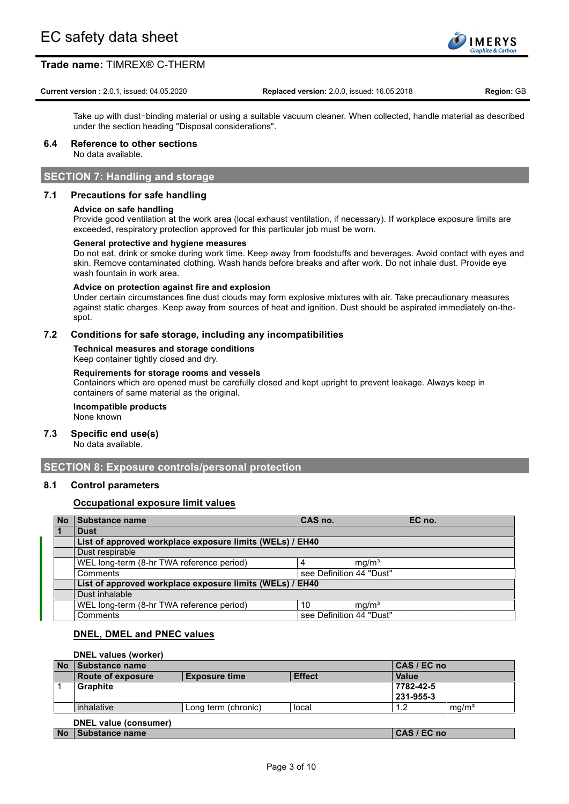

#### **Current version :** 2.0.1, issued: 04.05.2020 **Replaced version:** 2.0.0, issued: 16.05.2018 **Region:** GB

Take up with dust−binding material or using a suitable vacuum cleaner. When collected, handle material as described under the section heading "Disposal considerations".

## **6.4 Reference to other sections**

No data available.

## **SECTION 7: Handling and storage**

## **7.1 Precautions for safe handling**

### **Advice on safe handling**

Provide good ventilation at the work area (local exhaust ventilation, if necessary). If workplace exposure limits are exceeded, respiratory protection approved for this particular job must be worn.

#### **General protective and hygiene measures**

Do not eat, drink or smoke during work time. Keep away from foodstuffs and beverages. Avoid contact with eyes and skin. Remove contaminated clothing. Wash hands before breaks and after work. Do not inhale dust. Provide eye wash fountain in work area.

#### **Advice on protection against fire and explosion**

Under certain circumstances fine dust clouds may form explosive mixtures with air. Take precautionary measures against static charges. Keep away from sources of heat and ignition. Dust should be aspirated immediately on-thespot.

### **7.2 Conditions for safe storage, including any incompatibilities**

**Technical measures and storage conditions** Keep container tightly closed and dry.

#### **Requirements for storage rooms and vessels**

Containers which are opened must be carefully closed and kept upright to prevent leakage. Always keep in containers of same material as the original.

## **Incompatible products**

None known

## **7.3 Specific end use(s)**

No data available.

## **SECTION 8: Exposure controls/personal protection**

## **8.1 Control parameters**

## **Occupational exposure limit values**

| l No           | Substance name                                           | CAS no.                  |                   | EC no. |
|----------------|----------------------------------------------------------|--------------------------|-------------------|--------|
| $\blacksquare$ | <b>Dust</b>                                              |                          |                   |        |
|                | List of approved workplace exposure limits (WELs) / EH40 |                          |                   |        |
|                | Dust respirable                                          |                          |                   |        |
|                | WEL long-term (8-hr TWA reference period)                |                          | mg/m <sup>3</sup> |        |
|                | Comments                                                 | see Definition 44 "Dust" |                   |        |
|                | List of approved workplace exposure limits (WELs) / EH40 |                          |                   |        |
|                | Dust inhalable                                           |                          |                   |        |
|                | WEL long-term (8-hr TWA reference period)                | 10                       | mq/m <sup>3</sup> |        |
|                | Comments                                                 | see Definition 44 "Dust" |                   |        |

## **DNEL, DMEL and PNEC values**

### **DNEL values (worker)**

| <b>No</b> | Substance name           |                      |               | CAS / EC no |                   |
|-----------|--------------------------|----------------------|---------------|-------------|-------------------|
|           | <b>Route of exposure</b> | <b>Exposure time</b> | <b>Effect</b> | Value       |                   |
|           | <b>Graphite</b>          |                      |               | 7782-42-5   |                   |
|           |                          |                      |               | 231-955-3   |                   |
|           | inhalative               | Long term (chronic)  | local         | 1.2         | mq/m <sup>3</sup> |
|           | DNEL value (consumer)    |                      |               |             |                   |
| <b>No</b> | Substance name           |                      |               | CAS / EC no |                   |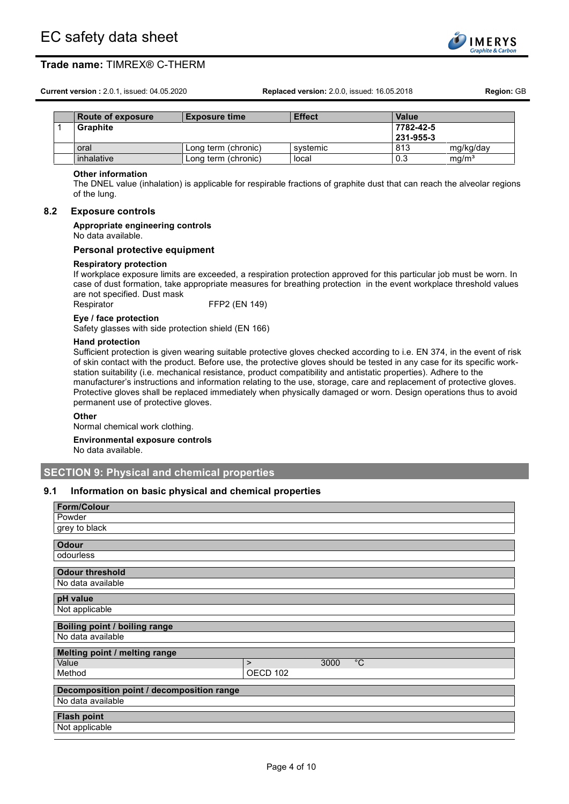**Current version :** 2.0.1, issued: 04.05.2020 **Replaced version:** 2.0.0, issued: 16.05.2018 **Region:** GB

|  | NUMBU UNDUUNU | $-$                 | -----    | ,,,,,,    |                   |
|--|---------------|---------------------|----------|-----------|-------------------|
|  | Graphite      |                     |          | 7782-42-5 |                   |
|  |               |                     |          | 231-955-3 |                   |
|  | oral          | Long term (chronic) | systemic | 813       | mg/kg/day         |
|  | inhalative    | Long term (chronic) | local    | 0.3       | mq/m <sup>3</sup> |

**Route of exposure Exposure time Effect Value**

#### **Other information**

The DNEL value (inhalation) is applicable for respirable fractions of graphite dust that can reach the alveolar regions of the lung.

**IMERYS** aphite & Carb

#### **8.2 Exposure controls**

#### **Appropriate engineering controls**

No data available.

#### **Personal protective equipment**

#### **Respiratory protection**

If workplace exposure limits are exceeded, a respiration protection approved for this particular job must be worn. In case of dust formation, take appropriate measures for breathing protection in the event workplace threshold values are not specified. Dust mask

Respirator FFP2 (EN 149)

#### **Eye / face protection**

Safety glasses with side protection shield (EN 166)

#### **Hand protection**

Sufficient protection is given wearing suitable protective gloves checked according to i.e. EN 374, in the event of risk of skin contact with the product. Before use, the protective gloves should be tested in any case for its specific workstation suitability (i.e. mechanical resistance, product compatibility and antistatic properties). Adhere to the manufacturer's instructions and information relating to the use, storage, care and replacement of protective gloves. Protective gloves shall be replaced immediately when physically damaged or worn. Design operations thus to avoid permanent use of protective gloves.

#### **Other**

Normal chemical work clothing.

#### **Environmental exposure controls**

No data available.

## **SECTION 9: Physical and chemical properties**

### **9.1 Information on basic physical and chemical properties**

| <b>Form/Colour</b>                        |          |      |              |
|-------------------------------------------|----------|------|--------------|
| Powder                                    |          |      |              |
| grey to black                             |          |      |              |
|                                           |          |      |              |
| <b>Odour</b>                              |          |      |              |
| odourless                                 |          |      |              |
| <b>Odour threshold</b>                    |          |      |              |
| No data available                         |          |      |              |
|                                           |          |      |              |
| pH value                                  |          |      |              |
| Not applicable                            |          |      |              |
| Boiling point / boiling range             |          |      |              |
| No data available                         |          |      |              |
| Melting point / melting range             |          |      |              |
| Value                                     | $\geq$   | 3000 | $^{\circ}$ C |
| Method                                    | OECD 102 |      |              |
| Decomposition point / decomposition range |          |      |              |
|                                           |          |      |              |
| No data available                         |          |      |              |
| <b>Flash point</b>                        |          |      |              |
| Not applicable                            |          |      |              |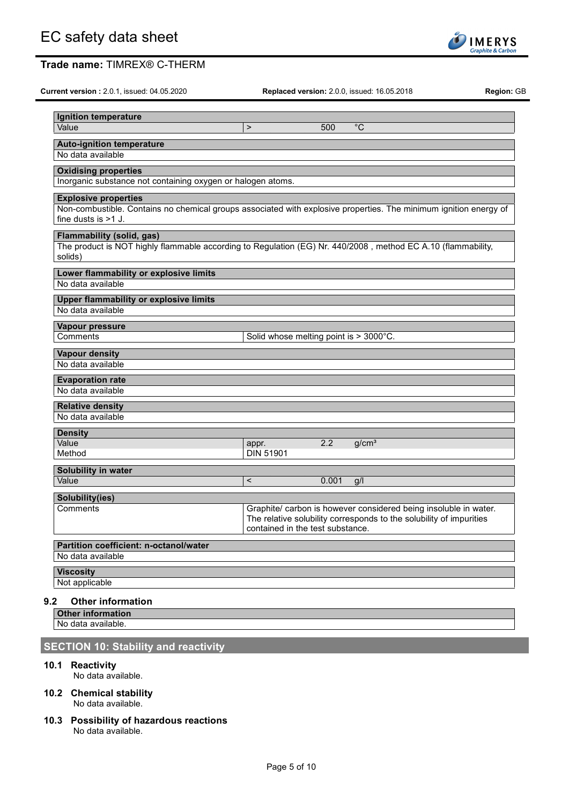| Ignition temperature<br>Value                                                                                                                                             | $\mathbf{L}$              | $^{\circ}C$<br>500                                                                                                                                                          |  |
|---------------------------------------------------------------------------------------------------------------------------------------------------------------------------|---------------------------|-----------------------------------------------------------------------------------------------------------------------------------------------------------------------------|--|
|                                                                                                                                                                           |                           |                                                                                                                                                                             |  |
| <b>Auto-ignition temperature</b><br>No data available                                                                                                                     |                           |                                                                                                                                                                             |  |
|                                                                                                                                                                           |                           |                                                                                                                                                                             |  |
| <b>Oxidising properties</b><br>Inorganic substance not containing oxygen or halogen atoms.                                                                                |                           |                                                                                                                                                                             |  |
| <b>Explosive properties</b><br>Non-combustible. Contains no chemical groups associated with explosive properties. The minimum ignition energy of<br>fine dusts is $>1$ J. |                           |                                                                                                                                                                             |  |
| <b>Flammability (solid, gas)</b><br>The product is NOT highly flammable according to Regulation (EG) Nr. 440/2008, method EC A.10 (flammability,<br>solids)               |                           |                                                                                                                                                                             |  |
| Lower flammability or explosive limits<br>No data available                                                                                                               |                           |                                                                                                                                                                             |  |
| <b>Upper flammability or explosive limits</b><br>No data available                                                                                                        |                           |                                                                                                                                                                             |  |
| Vapour pressure<br>Comments                                                                                                                                               |                           | Solid whose melting point is > 3000°C.                                                                                                                                      |  |
| <b>Vapour density</b><br>No data available                                                                                                                                |                           |                                                                                                                                                                             |  |
| <b>Evaporation rate</b><br>No data available                                                                                                                              |                           |                                                                                                                                                                             |  |
| <b>Relative density</b><br>No data available                                                                                                                              |                           |                                                                                                                                                                             |  |
| <b>Density</b>                                                                                                                                                            |                           |                                                                                                                                                                             |  |
| Value<br>Method                                                                                                                                                           | appr.<br><b>DIN 51901</b> | 2.2<br>g/cm <sup>3</sup>                                                                                                                                                    |  |
| Solubility in water                                                                                                                                                       |                           |                                                                                                                                                                             |  |
| Value                                                                                                                                                                     | $\overline{\phantom{0}}$  | 0.001<br>g/l                                                                                                                                                                |  |
| Solubility(ies)                                                                                                                                                           |                           |                                                                                                                                                                             |  |
| Comments                                                                                                                                                                  |                           | Graphite/ carbon is however considered being insoluble in water.<br>The relative solubility corresponds to the solubility of impurities<br>contained in the test substance. |  |
| Partition coefficient: n-octanol/water<br>No data available                                                                                                               |                           |                                                                                                                                                                             |  |

## **9.2 Other information**

**Other information**

No data available.

## **SECTION 10: Stability and reactivity**

**10.1 Reactivity**

No data available.

- **10.2 Chemical stability** No data available.
- **10.3 Possibility of hazardous reactions** No data available.

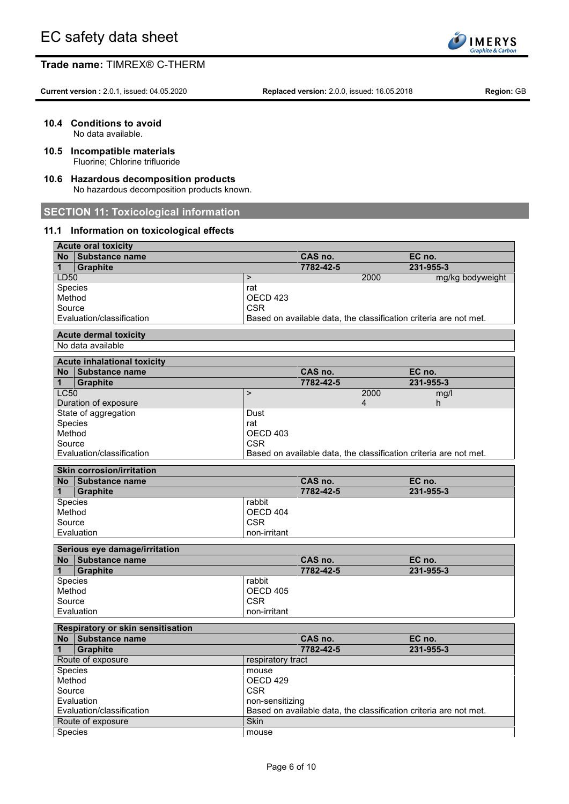

**Current version :** 2.0.1, issued: 04.05.2020 **Replaced version:** 2.0.0, issued: 16.05.2018 **Region:** GB

**10.4 Conditions to avoid**

No data available.

- **10.5 Incompatible materials** Fluorine; Chlorine trifluoride
- **10.6 Hazardous decomposition products** No hazardous decomposition products known.

## **SECTION 11: Toxicological information**

## **11.1 Information on toxicological effects**

| <b>Acute oral toxicity</b>         |                   |           |                                                                   |
|------------------------------------|-------------------|-----------|-------------------------------------------------------------------|
| No Substance name                  |                   | CAS no.   | EC no.                                                            |
| <b>Graphite</b><br>1               |                   | 7782-42-5 | 231-955-3                                                         |
| LD50                               | $\, >$            |           | 2000<br>mg/kg bodyweight                                          |
| Species                            | rat               |           |                                                                   |
| Method                             | OECD 423          |           |                                                                   |
| Source                             | <b>CSR</b>        |           |                                                                   |
| Evaluation/classification          |                   |           | Based on available data, the classification criteria are not met. |
| <b>Acute dermal toxicity</b>       |                   |           |                                                                   |
| No data available                  |                   |           |                                                                   |
| <b>Acute inhalational toxicity</b> |                   |           |                                                                   |
| No Substance name                  |                   | CAS no.   | EC no.                                                            |
| <b>Graphite</b><br>1               |                   | 7782-42-5 | 231-955-3                                                         |
| <b>LC50</b>                        | $\mathbf{L}$      |           | 2000<br>mg/l                                                      |
| Duration of exposure               |                   |           | 4<br>h                                                            |
| State of aggregation               | Dust              |           |                                                                   |
| Species                            | rat               |           |                                                                   |
| Method                             | OECD 403          |           |                                                                   |
| Source                             | <b>CSR</b>        |           |                                                                   |
| Evaluation/classification          |                   |           | Based on available data, the classification criteria are not met. |
|                                    |                   |           |                                                                   |
| <b>Skin corrosion/irritation</b>   |                   |           |                                                                   |
| No Substance name                  |                   | CAS no.   | EC no.                                                            |
| <b>Graphite</b><br>1               |                   | 7782-42-5 | 231-955-3                                                         |
| Species                            | rabbit            |           |                                                                   |
| Method                             | OECD 404          |           |                                                                   |
| Source                             | <b>CSR</b>        |           |                                                                   |
| Evaluation                         | non-irritant      |           |                                                                   |
| Serious eye damage/irritation      |                   |           |                                                                   |
| No Substance name                  |                   | CAS no.   | EC no.                                                            |
| 1<br><b>Graphite</b>               |                   | 7782-42-5 | 231-955-3                                                         |
| Species                            | rabbit            |           |                                                                   |
| Method                             | OECD 405          |           |                                                                   |
| Source                             | <b>CSR</b>        |           |                                                                   |
| Evaluation                         | non-irritant      |           |                                                                   |
| Respiratory or skin sensitisation  |                   |           |                                                                   |
| No Substance name                  |                   | CAS no.   | EC no.                                                            |
| 1<br><b>Graphite</b>               |                   | 7782-42-5 | 231-955-3                                                         |
| Route of exposure                  | respiratory tract |           |                                                                   |
| Species                            | mouse             |           |                                                                   |
| Method                             | OECD 429          |           |                                                                   |
| Source                             | <b>CSR</b>        |           |                                                                   |
| Evaluation                         | non-sensitizing   |           |                                                                   |
| Evaluation/classification          |                   |           | Based on available data, the classification criteria are not met. |
| Route of exposure                  |                   |           |                                                                   |
| Species                            | Skin              |           |                                                                   |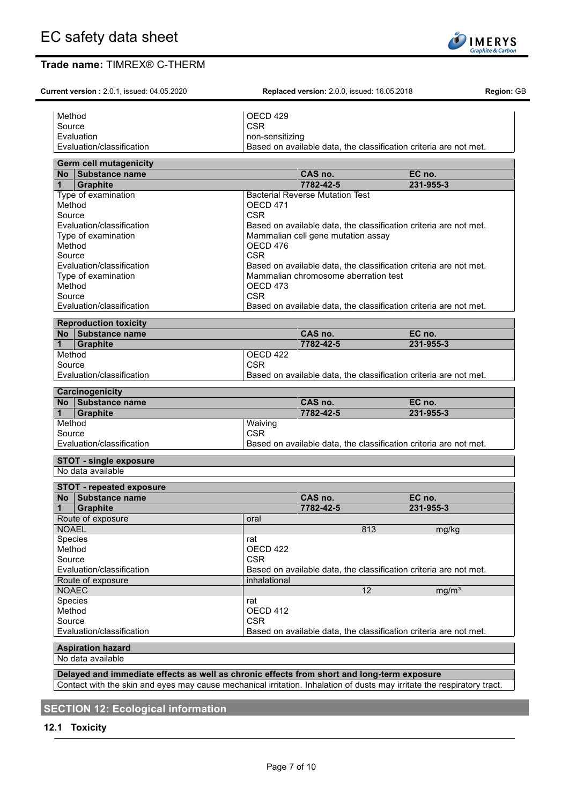Method OECD 429

Method OECD 471<br>Source CSR Source **CSR** 

Method OECD 476

Method OECD 473 Source CSR CSR

Source | CSR<br>Evaluation/classification | CSR | Base

Evaluation **non-sensitizing** 

**Current version :** 2.0.1, issued: 04.05.2020 **Replaced version:** 2.0.0, issued: 16.05.2018 **Region:** GB

**Germ cell mutagenicity**

Source

Evaluation/classification Based on available data, the classification criteria are not met.

Mammalian chromosome aberration test

| No Substance name         | CAS no.                                                           | EC no.    |  |
|---------------------------|-------------------------------------------------------------------|-----------|--|
| Graphite                  | 7782-42-5                                                         | 231-955-3 |  |
| Method                    | OECD 422                                                          |           |  |
| Source                    | <b>CSR</b>                                                        |           |  |
| Evaluation/classification | Based on available data, the classification criteria are not met. |           |  |

Evaluation/classification Based on available data, the classification criteria are not met.

Evaluation/classification Based on available data, the classification criteria are not met.

Evaluation/classification **Based on available data, the classification criteria are not met.**<br>Type of examination **Based on available data, the classification criteria are not met.** 

**No Substance name CAS no. EC no. 1 Graphite 7782-42-5 231-955-3**

Type of examination **Bacterial Reverse Mutation Test** 

Type of examination Mammalian cell gene mutation assay

|           | <b>Learchhogemicity</b>     |                                                                   |           |
|-----------|-----------------------------|-------------------------------------------------------------------|-----------|
| <b>No</b> | Substance name              | CAS no.                                                           | EC no.    |
| $\vert$ 1 | <b>Graphite</b>             | 7782-42-5                                                         | 231-955-3 |
| Method    |                             | Waiving                                                           |           |
| Source    |                             | <b>CSR</b>                                                        |           |
|           | l Evaluation/classification | Based on available data, the classification criteria are not met. |           |

## **STOT - single exposure**

No data available

|                | <b>STOT - repeated exposure</b> |              |           |                                                                   |  |
|----------------|---------------------------------|--------------|-----------|-------------------------------------------------------------------|--|
|                | No Substance name               |              | CAS no.   | EC no.                                                            |  |
| $\mathbf{1}$   | <b>Graphite</b>                 |              | 7782-42-5 | 231-955-3                                                         |  |
|                | Route of exposure               | oral         |           |                                                                   |  |
| <b>NOAEL</b>   |                                 |              | 813       | mg/kg                                                             |  |
| <b>Species</b> |                                 | rat          |           |                                                                   |  |
| Method         |                                 | OECD 422     |           |                                                                   |  |
| Source         |                                 | <b>CSR</b>   |           |                                                                   |  |
|                | Evaluation/classification       |              |           | Based on available data, the classification criteria are not met. |  |
|                | Route of exposure               | inhalational |           |                                                                   |  |
| <b>NOAEC</b>   |                                 |              | 12        | mq/m <sup>3</sup>                                                 |  |
| Species        |                                 | rat          |           |                                                                   |  |
| Method         |                                 | OECD 412     |           |                                                                   |  |
| Source         |                                 | <b>CSR</b>   |           |                                                                   |  |
|                | Evaluation/classification       |              |           | Based on available data, the classification criteria are not met. |  |
|                |                                 |              |           |                                                                   |  |

## **Aspiration hazard**

No data available

**Delayed and immediate effects as well as chronic effects from short and long-term exposure** Contact with the skin and eyes may cause mechanical irritation. Inhalation of dusts may irritate the respiratory tract.

## **SECTION 12: Ecological information**

## **12.1 Toxicity**

**IMERYS raphite & Carb**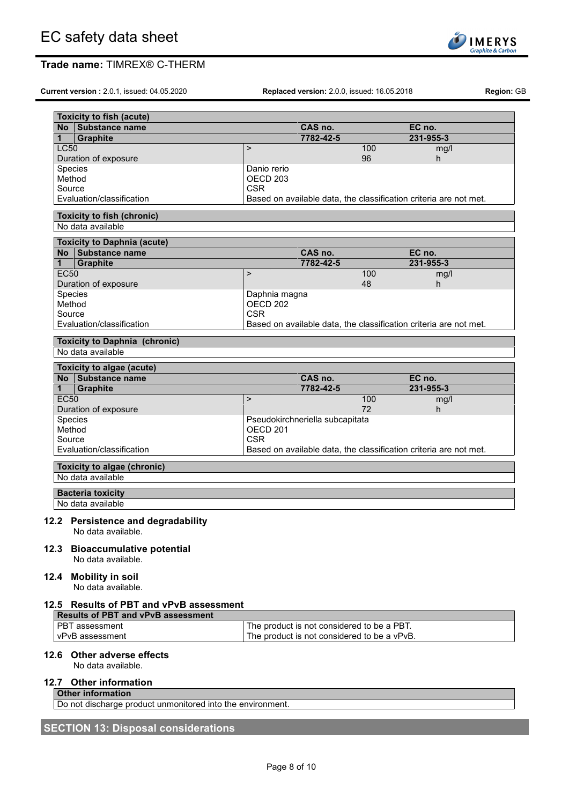

**Current version :** 2.0.1, issued: 04.05.2020 **Replaced version:** 2.0.0, issued: 16.05.2018 **Region:** GB

**SOLINERYS**<br>
Graphite & Carbon

| <b>Toxicity to fish (acute)</b>                            |                                   |                                             |     |                                                                   |  |
|------------------------------------------------------------|-----------------------------------|---------------------------------------------|-----|-------------------------------------------------------------------|--|
| No Substance name                                          |                                   | CAS no.                                     |     | EC no.                                                            |  |
| $\mathbf{1}$<br>Graphite                                   |                                   | 7782-42-5                                   |     | 231-955-3                                                         |  |
| <b>LC50</b>                                                | $\mathbf{L}$                      |                                             | 100 | mg/l                                                              |  |
| Duration of exposure                                       |                                   |                                             | 96  | h.                                                                |  |
| Species                                                    | Danio rerio                       |                                             |     |                                                                   |  |
| Method                                                     | OECD <sub>203</sub>               |                                             |     |                                                                   |  |
| Source                                                     | <b>CSR</b>                        |                                             |     |                                                                   |  |
| Evaluation/classification                                  |                                   |                                             |     | Based on available data, the classification criteria are not met. |  |
| <b>Toxicity to fish (chronic)</b>                          |                                   |                                             |     |                                                                   |  |
| No data available                                          |                                   |                                             |     |                                                                   |  |
| <b>Toxicity to Daphnia (acute)</b>                         |                                   |                                             |     |                                                                   |  |
| No Substance name                                          |                                   | CAS no.                                     |     | EC no.                                                            |  |
| 1<br><b>Graphite</b>                                       |                                   | 7782-42-5                                   |     | 231-955-3                                                         |  |
| <b>EC50</b>                                                | $\, > \,$                         |                                             | 100 | mg/l                                                              |  |
| Duration of exposure                                       |                                   |                                             | 48  | h.                                                                |  |
| Species                                                    | Daphnia magna                     |                                             |     |                                                                   |  |
| Method<br>Source                                           | OECD <sub>202</sub><br><b>CSR</b> |                                             |     |                                                                   |  |
| Evaluation/classification                                  |                                   |                                             |     | Based on available data, the classification criteria are not met. |  |
|                                                            |                                   |                                             |     |                                                                   |  |
| <b>Toxicity to Daphnia (chronic)</b>                       |                                   |                                             |     |                                                                   |  |
| No data available                                          |                                   |                                             |     |                                                                   |  |
| Toxicity to algae (acute)                                  |                                   |                                             |     |                                                                   |  |
| No Substance name                                          |                                   | CAS no.                                     |     | EC no.                                                            |  |
| 1<br><b>Graphite</b>                                       |                                   | 7782-42-5                                   |     | 231-955-3                                                         |  |
| <b>EC50</b>                                                | $\mathbf{L}$                      |                                             | 100 | mg/l                                                              |  |
| Duration of exposure                                       |                                   |                                             | 72  | h.                                                                |  |
| Species                                                    |                                   | Pseudokirchneriella subcapitata             |     |                                                                   |  |
| Method                                                     | OECD <sub>201</sub>               |                                             |     |                                                                   |  |
| Source                                                     | <b>CSR</b>                        |                                             |     |                                                                   |  |
| Evaluation/classification                                  |                                   |                                             |     | Based on available data, the classification criteria are not met. |  |
| Toxicity to algae (chronic)                                |                                   |                                             |     |                                                                   |  |
| No data available                                          |                                   |                                             |     |                                                                   |  |
| <b>Bacteria toxicity</b>                                   |                                   |                                             |     |                                                                   |  |
| No data available                                          |                                   |                                             |     |                                                                   |  |
|                                                            |                                   |                                             |     |                                                                   |  |
| 12.2 Persistence and degradability                         |                                   |                                             |     |                                                                   |  |
| No data available.                                         |                                   |                                             |     |                                                                   |  |
| 12.3 Bioaccumulative potential                             |                                   |                                             |     |                                                                   |  |
| No data available.                                         |                                   |                                             |     |                                                                   |  |
|                                                            |                                   |                                             |     |                                                                   |  |
| 12.4 Mobility in soil                                      |                                   |                                             |     |                                                                   |  |
| No data available.                                         |                                   |                                             |     |                                                                   |  |
| 12.5 Results of PBT and vPvB assessment                    |                                   |                                             |     |                                                                   |  |
| <b>Results of PBT and vPvB assessment</b>                  |                                   |                                             |     |                                                                   |  |
| PBT assessment                                             |                                   | The product is not considered to be a PBT.  |     |                                                                   |  |
| vPvB assessment                                            |                                   | The product is not considered to be a vPvB. |     |                                                                   |  |
|                                                            |                                   |                                             |     |                                                                   |  |
| 12.6 Other adverse effects                                 |                                   |                                             |     |                                                                   |  |
| No data available.                                         |                                   |                                             |     |                                                                   |  |
| <b>Other information</b><br>12.7                           |                                   |                                             |     |                                                                   |  |
| <b>Other information</b>                                   |                                   |                                             |     |                                                                   |  |
| Do not discharge product unmonitored into the environment. |                                   |                                             |     |                                                                   |  |

# **SECTION 13: Disposal considerations**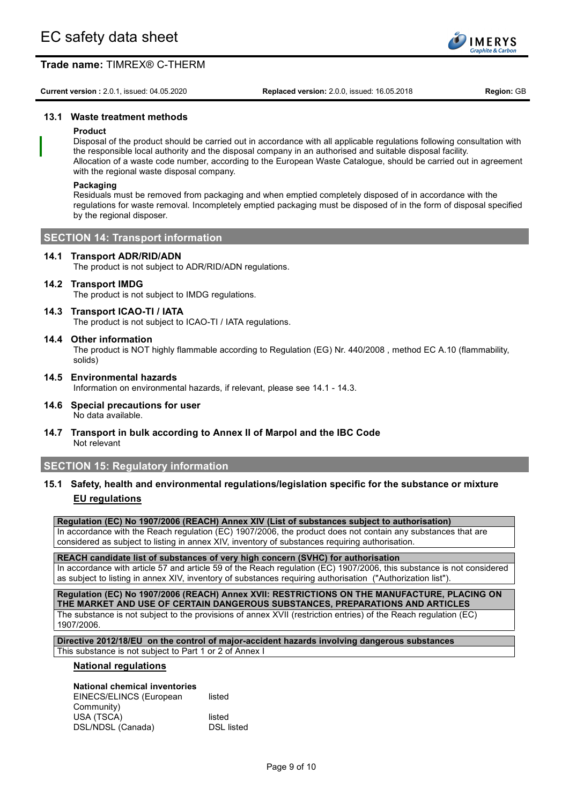

**Current version :** 2.0.1, issued: 04.05.2020 **Replaced version:** 2.0.0, issued: 16.05.2018 **Region:** GB

## **13.1 Waste treatment methods**

### **Product**

Disposal of the product should be carried out in accordance with all applicable regulations following consultation with the responsible local authority and the disposal company in an authorised and suitable disposal facility. Allocation of a waste code number, according to the European Waste Catalogue, should be carried out in agreement with the regional waste disposal company.

#### **Packaging**

Residuals must be removed from packaging and when emptied completely disposed of in accordance with the regulations for waste removal. Incompletely emptied packaging must be disposed of in the form of disposal specified by the regional disposer.

### **SECTION 14: Transport information**

### **14.1 Transport ADR/RID/ADN**

The product is not subject to ADR/RID/ADN regulations.

## **14.2 Transport IMDG**

The product is not subject to IMDG regulations.

### **14.3 Transport ICAO-TI / IATA**

The product is not subject to ICAO-TI / IATA regulations.

### **14.4 Other information**

The product is NOT highly flammable according to Regulation (EG) Nr. 440/2008 , method EC A.10 (flammability, solids)

- **14.5 Environmental hazards** Information on environmental hazards, if relevant, please see 14.1 - 14.3.
- **14.6 Special precautions for user** No data available.
- **14.7 Transport in bulk according to Annex II of Marpol and the IBC Code** Not relevant

## **SECTION 15: Regulatory information**

**15.1 Safety, health and environmental regulations/legislation specific for the substance or mixture EU regulations**

**Regulation (EC) No 1907/2006 (REACH) Annex XIV (List of substances subject to authorisation)**

In accordance with the Reach regulation (EC) 1907/2006, the product does not contain any substances that are considered as subject to listing in annex XIV, inventory of substances requiring authorisation.

**REACH candidate list of substances of very high concern (SVHC) for authorisation** In accordance with article 57 and article 59 of the Reach regulation (EC) 1907/2006, this substance is not considered as subject to listing in annex XIV, inventory of substances requiring authorisation ("Authorization list").

**Regulation (EC) No 1907/2006 (REACH) Annex XVII: RESTRICTIONS ON THE MANUFACTURE, PLACING ON THE MARKET AND USE OF CERTAIN DANGEROUS SUBSTANCES, PREPARATIONS AND ARTICLES** The substance is not subject to the provisions of annex XVII (restriction entries) of the Reach regulation (EC) 1907/2006.

**Directive 2012/18/EU on the control of major-accident hazards involving dangerous substances** This substance is not subject to Part 1 or 2 of Annex I

#### **National regulations**

## **National chemical inventories**

EINECS/ELINCS (European Community) listed USA (TSCA) listed<br>DSL/NDSL (Canada) listed DSL listed DSL/NDSL (Canada)